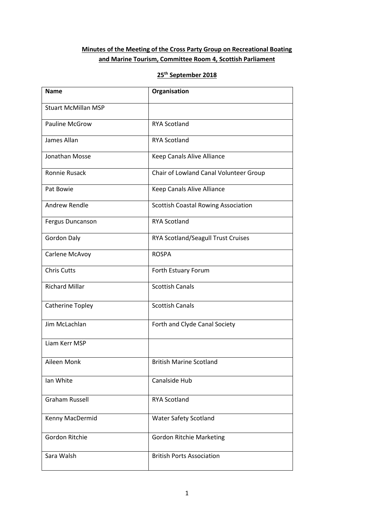## **Minutes of the Meeting of the Cross Party Group on Recreational Boating and Marine Tourism, Committee Room 4, Scottish Parliament**

# **25th September 2018**

| <b>Name</b>                | Organisation                           |  |  |
|----------------------------|----------------------------------------|--|--|
| <b>Stuart McMillan MSP</b> |                                        |  |  |
| <b>Pauline McGrow</b>      | <b>RYA Scotland</b>                    |  |  |
| James Allan                | <b>RYA Scotland</b>                    |  |  |
| Jonathan Mosse             | Keep Canals Alive Alliance             |  |  |
| Ronnie Rusack              | Chair of Lowland Canal Volunteer Group |  |  |
| Pat Bowie                  | Keep Canals Alive Alliance             |  |  |
| Andrew Rendle              | Scottish Coastal Rowing Association    |  |  |
| Fergus Duncanson           | <b>RYA Scotland</b>                    |  |  |
| <b>Gordon Daly</b>         | RYA Scotland/Seagull Trust Cruises     |  |  |
| Carlene McAvoy             | <b>ROSPA</b>                           |  |  |
| <b>Chris Cutts</b>         | Forth Estuary Forum                    |  |  |
| <b>Richard Millar</b>      | <b>Scottish Canals</b>                 |  |  |
| Catherine Topley           | <b>Scottish Canals</b>                 |  |  |
| Jim McLachlan              | Forth and Clyde Canal Society          |  |  |
| Liam Kerr MSP              |                                        |  |  |
| Aileen Monk                | <b>British Marine Scotland</b>         |  |  |
| Ian White                  | Canalside Hub                          |  |  |
| <b>Graham Russell</b>      | <b>RYA Scotland</b>                    |  |  |
| Kenny MacDermid            | <b>Water Safety Scotland</b>           |  |  |
| <b>Gordon Ritchie</b>      | <b>Gordon Ritchie Marketing</b>        |  |  |
| Sara Walsh                 | <b>British Ports Association</b>       |  |  |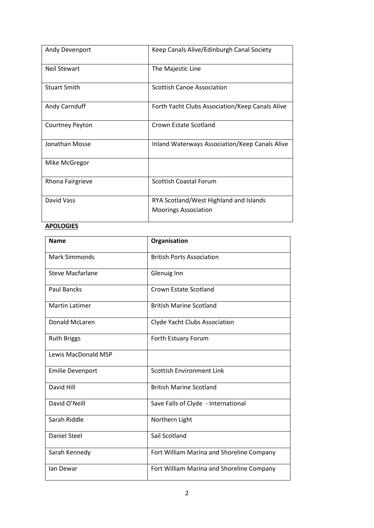| Andy Devenport      | Keep Canals Alive/Edinburgh Canal Society                             |  |
|---------------------|-----------------------------------------------------------------------|--|
| <b>Neil Stewart</b> | The Majestic Line                                                     |  |
| <b>Stuart Smith</b> | <b>Scottish Canoe Association</b>                                     |  |
| Andy Carnduff       | Forth Yacht Clubs Association/Keep Canals Alive                       |  |
| Courtney Peyton     | Crown Estate Scotland                                                 |  |
| Jonathan Mosse      | Inland Waterways Association/Keep Canals Alive                        |  |
| Mike McGregor       |                                                                       |  |
| Rhona Fairgrieve    | <b>Scottish Coastal Forum</b>                                         |  |
| David Vass          | RYA Scotland/West Highland and Islands<br><b>Moorings Association</b> |  |

# **APOLOGIES**

| <b>Name</b>                | Organisation                              |  |  |
|----------------------------|-------------------------------------------|--|--|
| <b>Mark Simmonds</b>       | <b>British Ports Association</b>          |  |  |
| <b>Steve Macfarlane</b>    | Glenuig Inn                               |  |  |
| <b>Paul Bancks</b>         | Crown Estate Scotland                     |  |  |
| <b>Martin Latimer</b>      | <b>British Marine Scotland</b>            |  |  |
| <b>Donald McLaren</b>      | Clyde Yacht Clubs Association             |  |  |
| <b>Ruth Briggs</b>         | Forth Estuary Forum                       |  |  |
| <b>Lewis MacDonald MSP</b> |                                           |  |  |
| <b>Emilie Devenport</b>    | <b>Scottish Environment Link</b>          |  |  |
| David Hill                 | <b>British Marine Scotland</b>            |  |  |
| David O'Neill              | Save Falls of Clyde - International       |  |  |
| Sarah Riddle               | Northern Light                            |  |  |
| <b>Daniel Steel</b>        | Sail Scotland                             |  |  |
| Sarah Kennedy              | Fort William Marina and Shoreline Company |  |  |
| lan Dewar                  | Fort William Marina and Shoreline Company |  |  |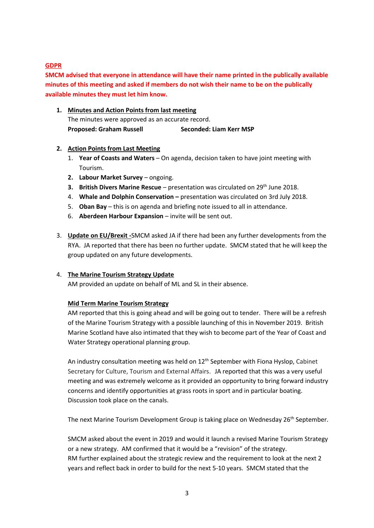## **GDPR**

**SMCM advised that everyone in attendance will have their name printed in the publically available minutes of this meeting and asked if members do not wish their name to be on the publically available minutes they must let him know.**

**1. Minutes and Action Points from last meeting** The minutes were approved as an accurate record. **Proposed: Graham Russell Seconded: Liam Kerr MSP**

## **2. Action Points from Last Meeting**

- 1. **Year of Coasts and Waters** On agenda, decision taken to have joint meeting with Tourism.
- **2. Labour Market Survey** ongoing.
- **3. British Divers Marine Rescue** presentation was circulated on 29<sup>th</sup> June 2018.
- 4. **Whale and Dolphin Conservation –** presentation was circulated on 3rd July 2018.
- 5. **Oban Bay** this is on agenda and briefing note issued to all in attendance.
- 6. **Aberdeen Harbour Expansion** invite will be sent out.
- 3. **Update on EU/Brexit -**SMCM asked JA if there had been any further developments from the RYA. JA reported that there has been no further update. SMCM stated that he will keep the group updated on any future developments.

## 4. **The Marine Tourism Strategy Update**

AM provided an update on behalf of ML and SL in their absence.

## **Mid Term Marine Tourism Strategy**

AM reported that this is going ahead and will be going out to tender. There will be a refresh of the Marine Tourism Strategy with a possible launching of this in November 2019. British Marine Scotland have also intimated that they wish to become part of the Year of Coast and Water Strategy operational planning group.

An industry consultation meeting was held on  $12<sup>th</sup>$  September with Fiona Hyslop, Cabinet Secretary for Culture, Tourism and External Affairs. JA reported that this was a very useful meeting and was extremely welcome as it provided an opportunity to bring forward industry concerns and identify opportunities at grass roots in sport and in particular boating. Discussion took place on the canals.

The next Marine Tourism Development Group is taking place on Wednesday 26<sup>th</sup> September.

SMCM asked about the event in 2019 and would it launch a revised Marine Tourism Strategy or a new strategy. AM confirmed that it would be a "revision" of the strategy. RM further explained about the strategic review and the requirement to look at the next 2 years and reflect back in order to build for the next 5-10 years. SMCM stated that the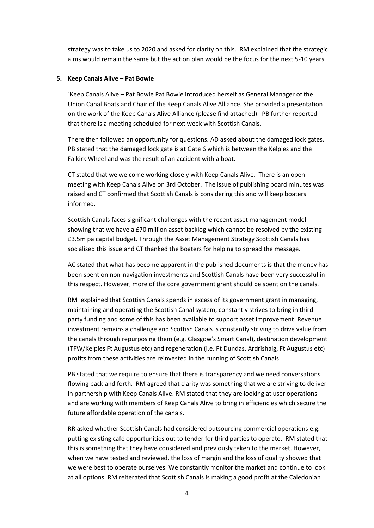strategy was to take us to 2020 and asked for clarity on this. RM explained that the strategic aims would remain the same but the action plan would be the focus for the next 5-10 years.

#### **5. Keep Canals Alive – Pat Bowie**

`Keep Canals Alive – Pat Bowie Pat Bowie introduced herself as General Manager of the Union Canal Boats and Chair of the Keep Canals Alive Alliance. She provided a presentation on the work of the Keep Canals Alive Alliance (please find attached). PB further reported that there is a meeting scheduled for next week with Scottish Canals.

There then followed an opportunity for questions. AD asked about the damaged lock gates. PB stated that the damaged lock gate is at Gate 6 which is between the Kelpies and the Falkirk Wheel and was the result of an accident with a boat.

CT stated that we welcome working closely with Keep Canals Alive. There is an open meeting with Keep Canals Alive on 3rd October. The issue of publishing board minutes was raised and CT confirmed that Scottish Canals is considering this and will keep boaters informed.

Scottish Canals faces significant challenges with the recent asset management model showing that we have a £70 million asset backlog which cannot be resolved by the existing £3.5m pa capital budget. Through the Asset Management Strategy Scottish Canals has socialised this issue and CT thanked the boaters for helping to spread the message.

AC stated that what has become apparent in the published documents is that the money has been spent on non-navigation investments and Scottish Canals have been very successful in this respect. However, more of the core government grant should be spent on the canals.

RM explained that Scottish Canals spends in excess of its government grant in managing, maintaining and operating the Scottish Canal system, constantly strives to bring in third party funding and some of this has been available to support asset improvement. Revenue investment remains a challenge and Scottish Canals is constantly striving to drive value from the canals through repurposing them (e.g. Glasgow's Smart Canal), destination development (TFW/Kelpies Ft Augustus etc) and regeneration (i.e. Pt Dundas, Ardrishaig, Ft Augustus etc) profits from these activities are reinvested in the running of Scottish Canals

PB stated that we require to ensure that there is transparency and we need conversations flowing back and forth. RM agreed that clarity was something that we are striving to deliver in partnership with Keep Canals Alive. RM stated that they are looking at user operations and are working with members of Keep Canals Alive to bring in efficiencies which secure the future affordable operation of the canals.

RR asked whether Scottish Canals had considered outsourcing commercial operations e.g. putting existing café opportunities out to tender for third parties to operate. RM stated that this is something that they have considered and previously taken to the market. However, when we have tested and reviewed, the loss of margin and the loss of quality showed that we were best to operate ourselves. We constantly monitor the market and continue to look at all options. RM reiterated that Scottish Canals is making a good profit at the Caledonian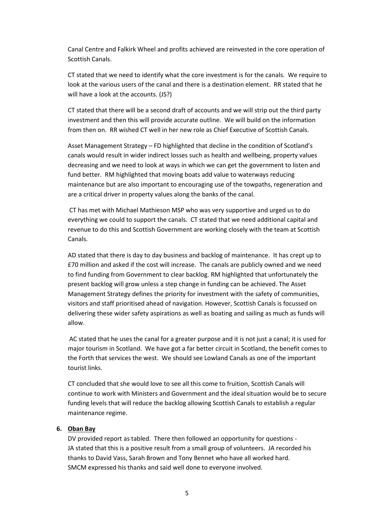Canal Centre and Falkirk Wheel and profits achieved are reinvested in the core operation of Scottish Canals.

CT stated that we need to identify what the core investment is for the canals. We require to look at the various users of the canal and there is a destination element. RR stated that he will have a look at the accounts. (JS?)

CT stated that there will be a second draft of accounts and we will strip out the third party investment and then this will provide accurate outline. We will build on the information from then on. RR wished CT well in her new role as Chief Executive of Scottish Canals.

Asset Management Strategy – FD highlighted that decline in the condition of Scotland's canals would result in wider indirect losses such as health and wellbeing, property values decreasing and we need to look at ways in which we can get the government to listen and fund better. RM highlighted that moving boats add value to waterways reducing maintenance but are also important to encouraging use of the towpaths, regeneration and are a critical driver in property values along the banks of the canal.

CT has met with Michael Mathieson MSP who was very supportive and urged us to do everything we could to support the canals. CT stated that we need additional capital and revenue to do this and Scottish Government are working closely with the team at Scottish Canals.

AD stated that there is day to day business and backlog of maintenance. It has crept up to £70 million and asked if the cost will increase. The canals are publicly owned and we need to find funding from Government to clear backlog. RM highlighted that unfortunately the present backlog will grow unless a step change in funding can be achieved. The Asset Management Strategy defines the priority for investment with the safety of communities, visitors and staff prioritised ahead of navigation. However, Scottish Canals is focussed on delivering these wider safety aspirations as well as boating and sailing as much as funds will allow.

AC stated that he uses the canal for a greater purpose and it is not just a canal; it is used for major tourism in Scotland. We have got a far better circuit in Scotland, the benefit comes to the Forth that services the west. We should see Lowland Canals as one of the important tourist links.

CT concluded that she would love to see all this come to fruition, Scottish Canals will continue to work with Ministers and Government and the ideal situation would be to secure funding levels that will reduce the backlog allowing Scottish Canals to establish a regular maintenance regime.

### **6. Oban Bay**

DV provided report as tabled. There then followed an opportunity for questions - JA stated that this is a positive result from a small group of volunteers. JA recorded his thanks to David Vass, Sarah Brown and Tony Bennet who have all worked hard. SMCM expressed his thanks and said well done to everyone involved.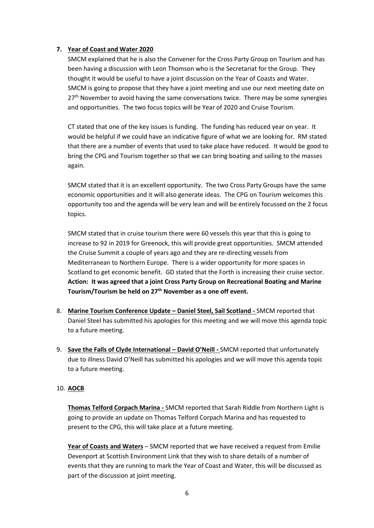## **7. Year of Coast and Water 2020**

SMCM explained that he is also the Convener for the Cross Party Group on Tourism and has been having a discussion with Leon Thomson who is the Secretariat for the Group. They thought it would be useful to have a joint discussion on the Year of Coasts and Water. SMCM is going to propose that they have a joint meeting and use our next meeting date on  $27<sup>th</sup>$  November to avoid having the same conversations twice. There may be some synergies and opportunities. The two focus topics will be Year of 2020 and Cruise Tourism.

CT stated that one of the key issues is funding. The funding has reduced year on year. It would be helpful if we could have an indicative figure of what we are looking for. RM stated that there are a number of events that used to take place have reduced. It would be good to bring the CPG and Tourism together so that we can bring boating and sailing to the masses again.

SMCM stated that it is an excellent opportunity. The two Cross Party Groups have the same economic opportunities and it will also generate ideas. The CPG on Tourism welcomes this opportunity too and the agenda will be very lean and will be entirely focussed on the 2 focus topics.

SMCM stated that in cruise tourism there were 60 vessels this year that this is going to increase to 92 in 2019 for Greenock, this will provide great opportunities. SMCM attended the Cruise Summit a couple of years ago and they are re-directing vessels from Mediterranean to Northern Europe. There is a wider opportunity for more spaces in Scotland to get economic benefit. GD stated that the Forth is increasing their cruise sector. **Action: It was agreed that a joint Cross Party Group on Recreational Boating and Marine Tourism/Tourism be held on 27th November as a one off event.**

- 8. **Marine Tourism Conference Update – Daniel Steel, Sail Scotland -** SMCM reported that Daniel Steel has submitted his apologies for this meeting and we will move this agenda topic to a future meeting.
- 9. **Save the Falls of Clyde International – David O'Neill -** SMCM reported that unfortunately due to illness David O'Neill has submitted his apologies and we will move this agenda topic to a future meeting.

## 10. **AOCB**

**Thomas Telford Corpach Marina -** SMCM reported that Sarah Riddle from Northern Light is going to provide an update on Thomas Telford Corpach Marina and has requested to present to the CPG, this will take place at a future meeting.

**Year of Coasts and Waters** – SMCM reported that we have received a request from Emilie Devenport at Scottish Environment Link that they wish to share details of a number of events that they are running to mark the Year of Coast and Water, this will be discussed as part of the discussion at joint meeting.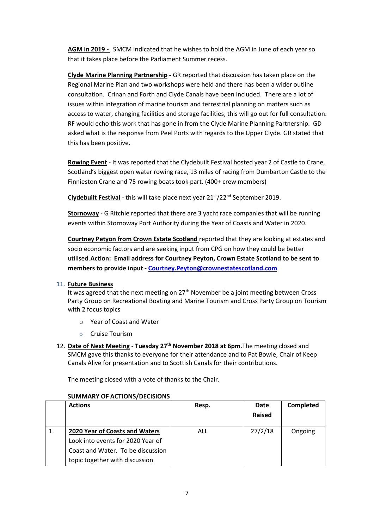**AGM in 2019 -** SMCM indicated that he wishes to hold the AGM in June of each year so that it takes place before the Parliament Summer recess.

**Clyde Marine Planning Partnership -** GR reported that discussion has taken place on the Regional Marine Plan and two workshops were held and there has been a wider outline consultation. Crinan and Forth and Clyde Canals have been included. There are a lot of issues within integration of marine tourism and terrestrial planning on matters such as access to water, changing facilities and storage facilities, this will go out for full consultation. RF would echo this work that has gone in from the Clyde Marine Planning Partnership. GD asked what is the response from Peel Ports with regards to the Upper Clyde. GR stated that this has been positive.

**Rowing Event** - It was reported that the Clydebuilt Festival hosted year 2 of Castle to Crane, Scotland's biggest open water rowing race, 13 miles of racing from Dumbarton Castle to the Finnieston Crane and 75 rowing boats took part. (400+ crew members)

**Clydebuilt Festival** - this will take place next year 21st/22nd September 2019.

**Stornoway** - G Ritchie reported that there are 3 yacht race companies that will be running events within Stornoway Port Authority during the Year of Coasts and Water in 2020.

**Courtney Petyon from Crown Estate Scotland** reported that they are looking at estates and socio economic factors and are seeking input from CPG on how they could be better utilised.**Action: Email address for Courtney Peyton, Crown Estate Scotland to be sent to members to provide input - [Courtney.Peyton@crownestatescotland.com](mailto:Courtney.Peyton@crownestatescotland.com)**

## 11. **Future Business**

It was agreed that the next meeting on  $27<sup>th</sup>$  November be a joint meeting between Cross Party Group on Recreational Boating and Marine Tourism and Cross Party Group on Tourism with 2 focus topics

- o Year of Coast and Water
- o Cruise Tourism
- 12. **Date of Next Meeting Tuesday 27 th November 2018 at 6pm.**The meeting closed and SMCM gave this thanks to everyone for their attendance and to Pat Bowie, Chair of Keep Canals Alive for presentation and to Scottish Canals for their contributions.

The meeting closed with a vote of thanks to the Chair.

| <b>Actions</b>                    | Resp.      | Date          | <b>Completed</b> |
|-----------------------------------|------------|---------------|------------------|
|                                   |            | <b>Raised</b> |                  |
| 2020 Year of Coasts and Waters    | <b>ALL</b> | 27/2/18       | Ongoing          |
| Look into events for 2020 Year of |            |               |                  |
| Coast and Water. To be discussion |            |               |                  |
| topic together with discussion    |            |               |                  |

## **SUMMARY OF ACTIONS/DECISIONS**